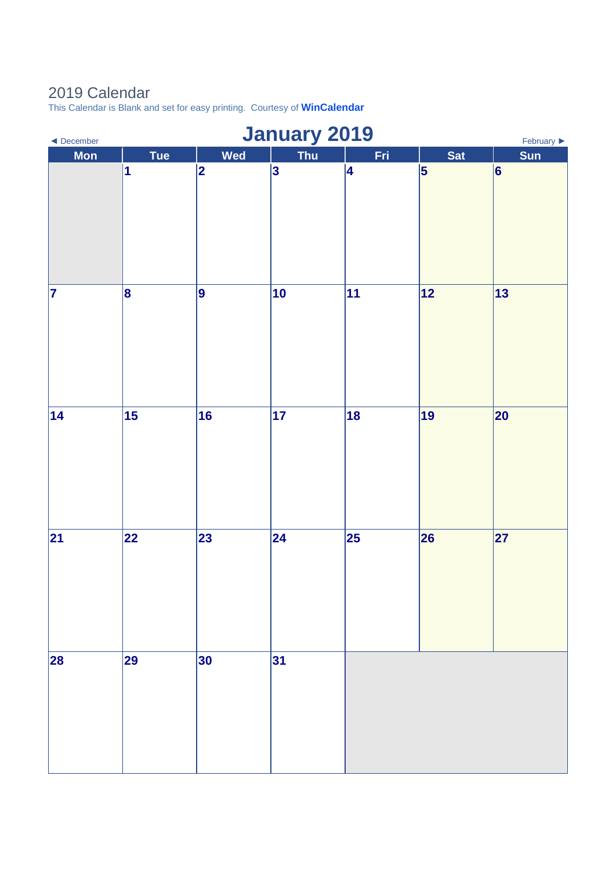## 2019 Calendar

This Calendar is Blank and set for easy printing. Courtesy of **[WinCalendar](https://www.wincalendar.com/UK/2020-Word-Calendar)**

| <b>January 2019</b><br>February $\blacktriangleright$<br>$\blacktriangleleft$ December |            |            |            |     |            |            |  |
|----------------------------------------------------------------------------------------|------------|------------|------------|-----|------------|------------|--|
| <b>Mon</b>                                                                             | <b>Tue</b> | <b>Wed</b> | Thu        | Fri | <b>Sat</b> | Sun        |  |
|                                                                                        | 1          | 2          | 3          | 4   | $\vert$ 5  | 6          |  |
| 7                                                                                      | 8          | 9          | 10         | 11  | 12         | $\vert$ 13 |  |
| 14                                                                                     | 15         | 16         | $\vert$ 17 | 18  | 19         | 20         |  |
| 21                                                                                     | 22         | 23         | 24         | 25  | 26         | 27         |  |
| 28                                                                                     | 29         | 30         | 31         |     |            |            |  |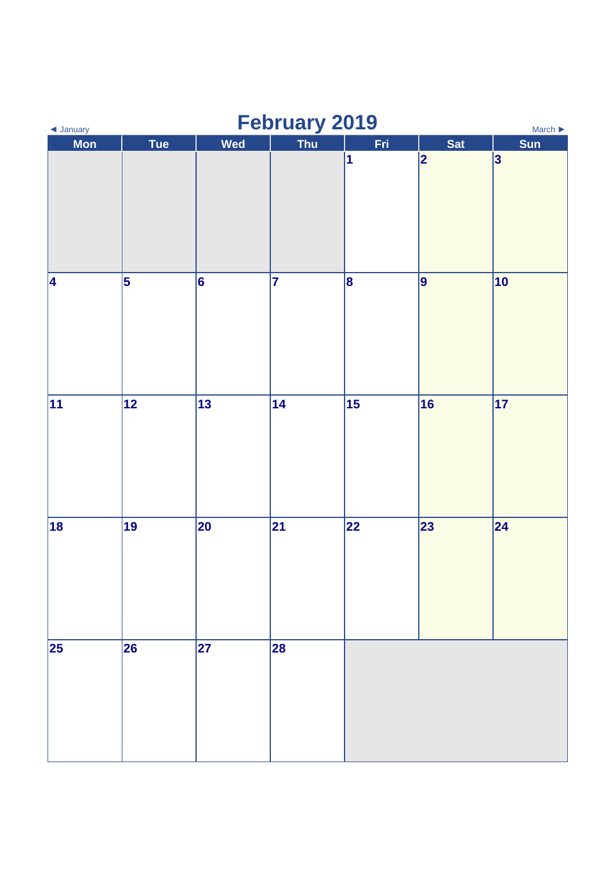| February 2019<br>◀ January<br>March $\blacktriangleright$ |                 |     |     |                         |            |     |  |
|-----------------------------------------------------------|-----------------|-----|-----|-------------------------|------------|-----|--|
| <b>Mon</b>                                                | <b>Tue</b>      | Wed | Thu | Fri                     | <b>Sat</b> | Sun |  |
|                                                           |                 |     |     | $\overline{\mathbf{1}}$ | 2          | 3   |  |
| 4                                                         | 5               | 6   | 7   | 8                       | 9          | 10  |  |
| $\overline{11}$                                           | $\overline{12}$ | 13  | 14  | 15                      | 16         | 17  |  |
| 18                                                        | 19              | 20  | 21  | 22                      | 23         | 24  |  |
| 25                                                        | 26              | 27  | 28  |                         |            |     |  |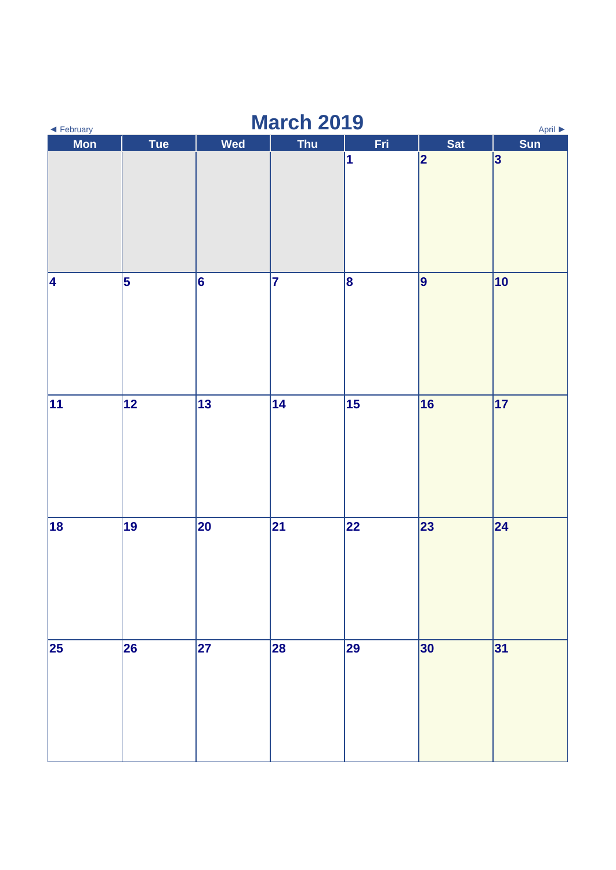| <b>March 2019</b><br>April ▶<br>◀ February |                 |     |            |                                     |            |     |  |
|--------------------------------------------|-----------------|-----|------------|-------------------------------------|------------|-----|--|
| <b>Mon</b>                                 | <b>Tue</b>      | Wed | <b>Thu</b> | Fri                                 | <b>Sat</b> | Sun |  |
|                                            |                 |     |            | $\vert$ 1                           | 2          | 3   |  |
| 4                                          | 5               | 6   | 7          | 8                                   | 9          | 10  |  |
| $\overline{11}$                            | $\overline{12}$ | 13  | 14         | $\overline{\overline{\mathbf{15}}}$ | 16         | 17  |  |
| 18                                         | 19              | 20  | 21         | 22                                  | 23         | 24  |  |
| 25                                         | 26              | 27  | 28         | 29                                  | 30         | 31  |  |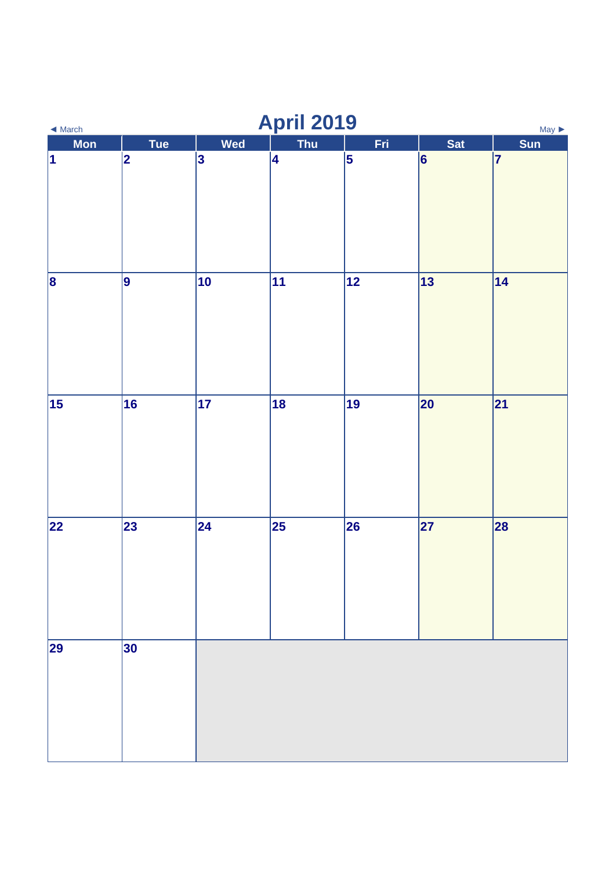| <b>April 2019</b><br>$May \triangleright$<br>$\blacktriangleleft$ March |             |     |     |     |                 |           |  |
|-------------------------------------------------------------------------|-------------|-----|-----|-----|-----------------|-----------|--|
| <b>Mon</b>                                                              | <b>Tue</b>  | Wed | Thu | Fri | <b>Sat</b>      | Sun       |  |
| $\vert$ 1                                                               | $ 2\rangle$ | 3   | 4   | 5   | $\vert 6 \vert$ | $\vert$ 7 |  |
| $\vert$ 8                                                               | 9           | 10  | 11  | 12  | 13              | 14        |  |
| 15                                                                      | 16          | 17  | 18  | 19  | 20              | 21        |  |
| 22                                                                      | 23          | 24  | 25  | 26  | 27              | 28        |  |
| 29                                                                      | 30          |     |     |     |                 |           |  |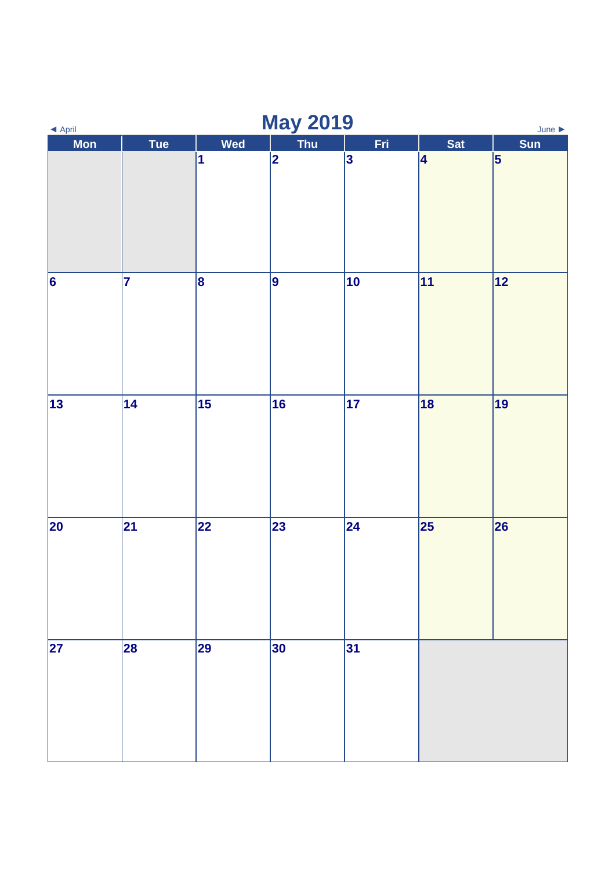| <b>May 2019</b><br>$\blacktriangle$ April<br>June $\blacktriangleright$ |     |     |                |     |            |                 |  |
|-------------------------------------------------------------------------|-----|-----|----------------|-----|------------|-----------------|--|
| Mon                                                                     | Tue | Wed | Thu            | Fri | <b>Sat</b> | Sun             |  |
|                                                                         |     | 1   | $\overline{2}$ | 3   | 4          | $\vert 5 \vert$ |  |
| $\overline{6}$                                                          | 7   | 8   | 9              | 10  | 11         | 12              |  |
| $\overline{13}$                                                         | 14  | 15  | 16             | 17  | 18         | 19              |  |
| $\overline{20}$                                                         | 21  | 22  | 23             | 24  | 25         | 26              |  |
| 27                                                                      | 28  | 29  | 30             | 31  |            |                 |  |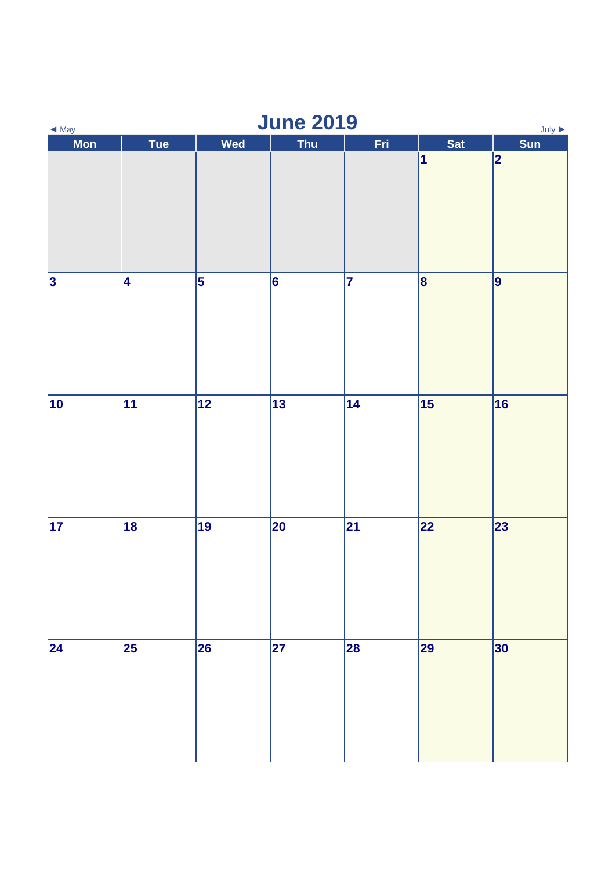| <b>June 2019</b><br>$July \triangleright$<br>$\triangleleft$ May |                 |                         |            |     |            |           |  |
|------------------------------------------------------------------|-----------------|-------------------------|------------|-----|------------|-----------|--|
| Mon                                                              | Tue             | Wed                     | <b>Thu</b> | Fri | <b>Sat</b> | Sun       |  |
|                                                                  |                 |                         |            |     | $\vert$ 1  | 2         |  |
| $\overline{\mathbf{3}}$                                          | 4               | $\overline{\mathbf{5}}$ | 6          | 7   | $\vert$ 8  | $\vert$ 9 |  |
| $ 10\rangle$                                                     | $\overline{11}$ | 12                      | 13         | 14  | 15         | 16        |  |
| $\overline{17}$                                                  | 18              | 19                      | 20         | 21  | 22         | 23        |  |
| 24                                                               | 25              | 26                      | 27         | 28  | 29         | 30        |  |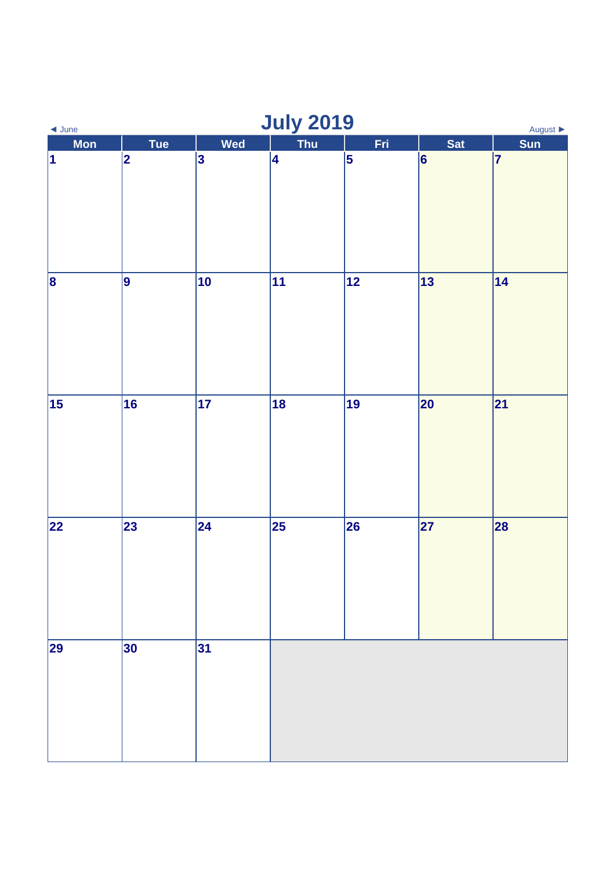| <b>July 2019</b><br>August $\blacktriangleright$<br>$\triangleleft$ June |             |                 |     |           |            |           |  |
|--------------------------------------------------------------------------|-------------|-----------------|-----|-----------|------------|-----------|--|
| Mon                                                                      | <b>Tue</b>  | Wed             | Thu | Fri       | <b>Sat</b> | Sun       |  |
| $\vert$ 1                                                                | $ 2\rangle$ | 3               | 4   | $\vert$ 5 | 6          | $\vert$ 7 |  |
| $\vert$ 8                                                                | 9           | 10              | 11  | 12        | 13         | 14        |  |
| 15                                                                       | 16          | $\overline{17}$ | 18  | 19        | 20         | 21        |  |
| 22                                                                       | 23          | 24              | 25  | 26        | 27         | 28        |  |
| 29                                                                       | 30          | 31              |     |           |            |           |  |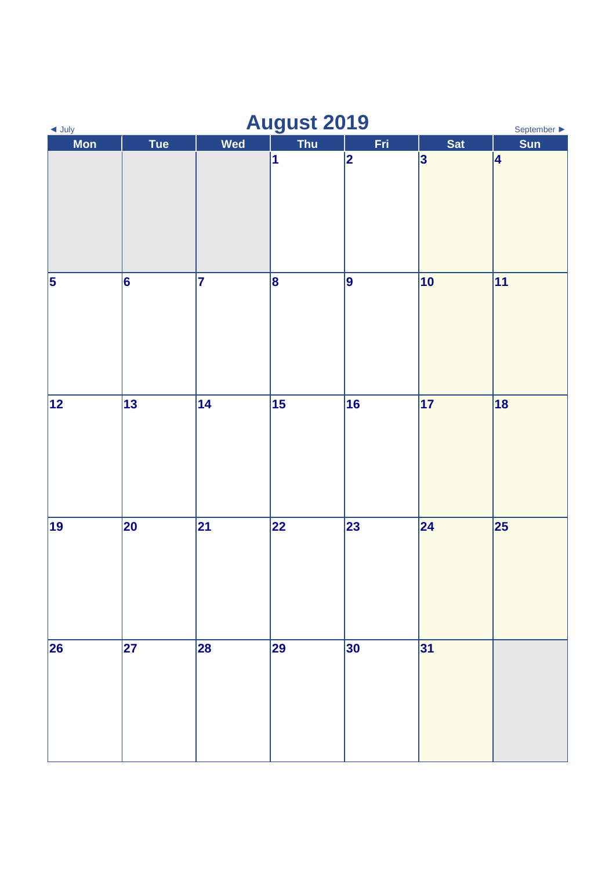| <b>August 2019</b><br>$\triangleleft$ July<br>September $\blacktriangleright$ |                 |                |                         |             |              |            |  |
|-------------------------------------------------------------------------------|-----------------|----------------|-------------------------|-------------|--------------|------------|--|
| <b>Mon</b>                                                                    | <b>Tue</b>      | Wed            | <b>Thu</b>              | Fri         | <b>Sat</b>   | <b>Sun</b> |  |
|                                                                               |                 |                | $\overline{\mathbf{1}}$ | $ 2\rangle$ | 3            | 4          |  |
| $\overline{\mathbf{5}}$                                                       | $\vert 6 \vert$ | $\overline{7}$ | 8                       | 9           | $ 10\rangle$ | 11         |  |
| 12                                                                            | 13              | 14             | 15                      | 16          | 17           | 18         |  |
| 19                                                                            | 20              | 21             | 22                      | 23          | $\vert$ 24   | 25         |  |
| 26                                                                            | 27              | 28             | 29                      | 30          | 31           |            |  |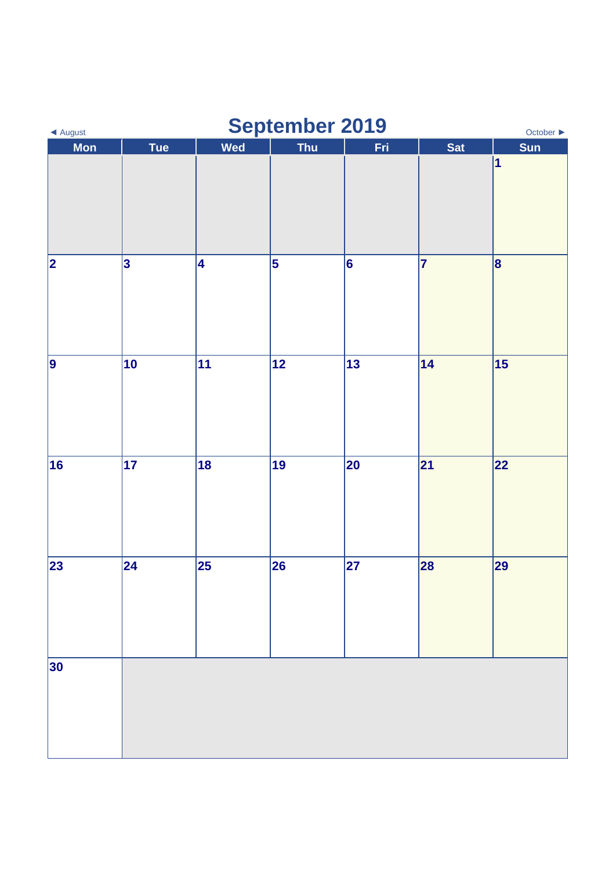| September 2019<br>October $\blacktriangleright$<br>◀ August |            |     |            |                 |            |            |  |
|-------------------------------------------------------------|------------|-----|------------|-----------------|------------|------------|--|
| <b>Mon</b>                                                  | <b>Tue</b> | Wed | <b>Thu</b> | Fri             | <b>Sat</b> | <b>Sun</b> |  |
|                                                             |            |     |            |                 |            | $\vert$ 1  |  |
| 2                                                           | 3          | 4   | 5          | $\vert 6 \vert$ | 7          | 8          |  |
| 9                                                           | 10         | 11  | 12         | 13              | 14         | 15         |  |
| 16                                                          | 17         | 18  | 19         | 20              | 21         | 22         |  |
| 23                                                          | 24         | 25  | 26         | 27              | 28         | 29         |  |
| 30                                                          |            |     |            |                 |            |            |  |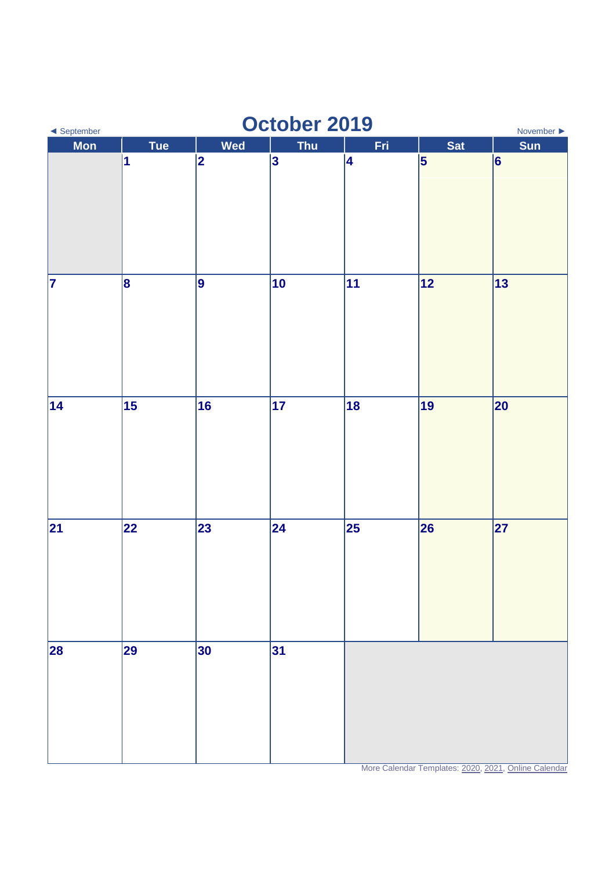| October 2019<br>◀ September<br>November $\blacktriangleright$ |            |     |                |     |           |     |  |  |
|---------------------------------------------------------------|------------|-----|----------------|-----|-----------|-----|--|--|
| <b>Mon</b>                                                    | <b>Tue</b> | Wed | <b>Thu</b>     | Fri | Sat       | Sun |  |  |
|                                                               | 1          | 2   | $\overline{3}$ | 4   | $\vert$ 5 | 6   |  |  |
| 7                                                             | 8          | 9   | 10             | 11  | 12        | 13  |  |  |
| 14                                                            | 15         | 16  | 17             | 18  | 19        | 20  |  |  |
| 21                                                            | 22         | 23  | 24             | 25  | 26        | 27  |  |  |
| 28                                                            | 29         | 30  | 31             |     |           |     |  |  |

More Calendar Templates[: 2020,](https://www.wincalendar.com/UK/2020-Word-Calendar) [2021,](https://www.wincalendar.com/UK/2021-Word-Calendar) [Online Calendar](https://www.wincalendar.com/Belarus/2020-Calendar)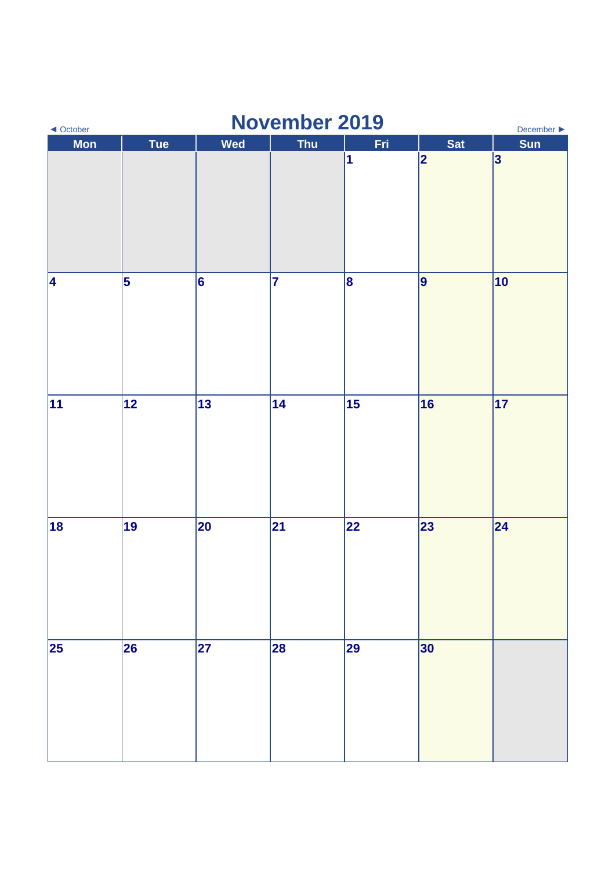| <b>November 2019</b><br>December $\blacktriangleright$<br>$\triangleleft$ October |            |     |            |     |            |                 |  |
|-----------------------------------------------------------------------------------|------------|-----|------------|-----|------------|-----------------|--|
| <b>Mon</b>                                                                        | <b>Tue</b> | Wed | <b>Thu</b> | Fri | <b>Sat</b> | Sun             |  |
|                                                                                   |            |     |            | 1   | 2          | $\vert 3 \vert$ |  |
| 4                                                                                 | 5          | 6   | 7          | 8   | 9          | 10              |  |
| $\overline{11}$                                                                   | 12         | 13  | 14         | 15  | 16         | 17              |  |
| 18                                                                                | 19         | 20  | 21         | 22  | 23         | 24              |  |
| 25                                                                                | 26         | 27  | 28         | 29  | 30         |                 |  |